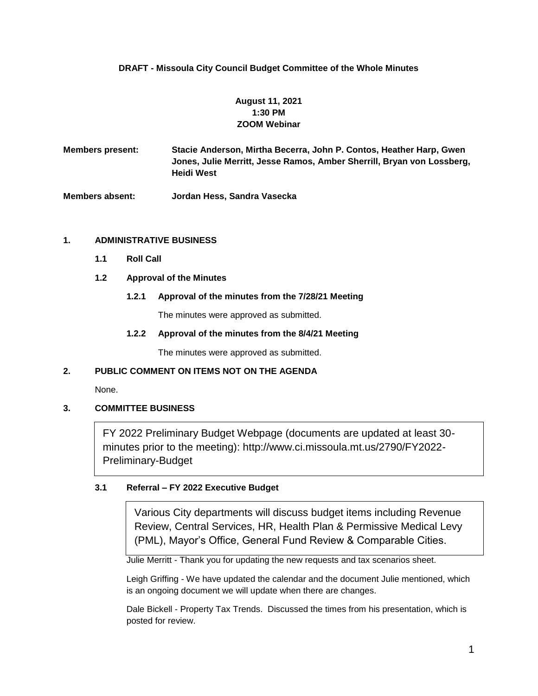## **DRAFT - Missoula City Council Budget Committee of the Whole Minutes**

# **August 11, 2021 1:30 PM ZOOM Webinar**

**Members present: Stacie Anderson, Mirtha Becerra, John P. Contos, Heather Harp, Gwen Jones, Julie Merritt, Jesse Ramos, Amber Sherrill, Bryan von Lossberg, Heidi West**

**Members absent: Jordan Hess, Sandra Vasecka**

#### **1. ADMINISTRATIVE BUSINESS**

- **1.1 Roll Call**
- **1.2 Approval of the Minutes**

#### **1.2.1 Approval of the minutes from the 7/28/21 Meeting**

The minutes were approved as submitted.

#### **1.2.2 Approval of the minutes from the 8/4/21 Meeting**

The minutes were approved as submitted.

#### **2. PUBLIC COMMENT ON ITEMS NOT ON THE AGENDA**

None.

#### **3. COMMITTEE BUSINESS**

FY 2022 Preliminary Budget Webpage (documents are updated at least 30 minutes prior to the meeting): http://www.ci.missoula.mt.us/2790/FY2022- Preliminary-Budget

### **3.1 Referral – FY 2022 Executive Budget**

Various City departments will discuss budget items including Revenue Review, Central Services, HR, Health Plan & Permissive Medical Levy (PML), Mayor's Office, General Fund Review & Comparable Cities.

Julie Merritt - Thank you for updating the new requests and tax scenarios sheet.

Leigh Griffing - We have updated the calendar and the document Julie mentioned, which is an ongoing document we will update when there are changes.

Dale Bickell - Property Tax Trends. Discussed the times from his presentation, which is posted for review.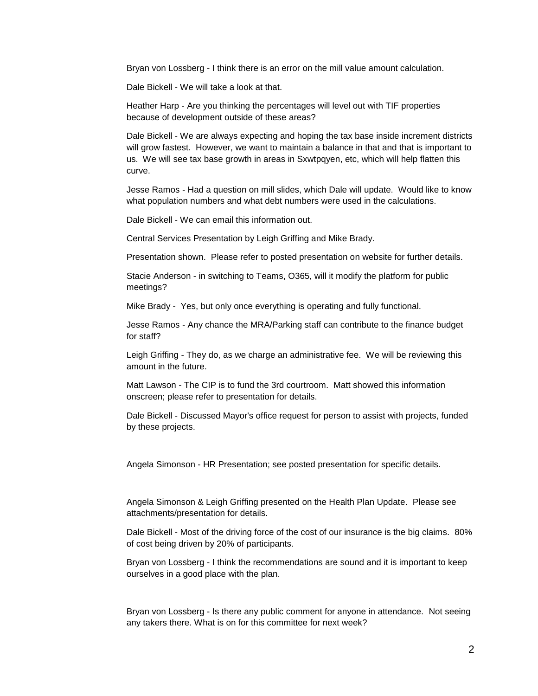Bryan von Lossberg - I think there is an error on the mill value amount calculation.

Dale Bickell - We will take a look at that.

Heather Harp - Are you thinking the percentages will level out with TIF properties because of development outside of these areas?

Dale Bickell - We are always expecting and hoping the tax base inside increment districts will grow fastest. However, we want to maintain a balance in that and that is important to us. We will see tax base growth in areas in Sxwtpqyen, etc, which will help flatten this curve.

Jesse Ramos - Had a question on mill slides, which Dale will update. Would like to know what population numbers and what debt numbers were used in the calculations.

Dale Bickell - We can email this information out.

Central Services Presentation by Leigh Griffing and Mike Brady.

Presentation shown. Please refer to posted presentation on website for further details.

Stacie Anderson - in switching to Teams, O365, will it modify the platform for public meetings?

Mike Brady - Yes, but only once everything is operating and fully functional.

Jesse Ramos - Any chance the MRA/Parking staff can contribute to the finance budget for staff?

Leigh Griffing - They do, as we charge an administrative fee. We will be reviewing this amount in the future.

Matt Lawson - The CIP is to fund the 3rd courtroom. Matt showed this information onscreen; please refer to presentation for details.

Dale Bickell - Discussed Mayor's office request for person to assist with projects, funded by these projects.

Angela Simonson - HR Presentation; see posted presentation for specific details.

Angela Simonson & Leigh Griffing presented on the Health Plan Update. Please see attachments/presentation for details.

Dale Bickell - Most of the driving force of the cost of our insurance is the big claims. 80% of cost being driven by 20% of participants.

Bryan von Lossberg - I think the recommendations are sound and it is important to keep ourselves in a good place with the plan.

Bryan von Lossberg - Is there any public comment for anyone in attendance. Not seeing any takers there. What is on for this committee for next week?